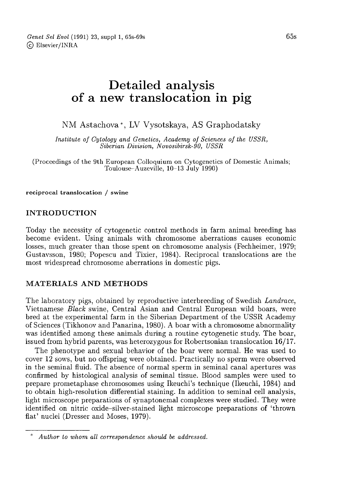# Detailed analysis of a new translocation in pig

NM Astachova\*, LV Vysotskaya, AS Graphodatsky

Institute of Cytology and Genetics, Academy of Sciences of the USSR, Siberian Division, Novosibirsk-90, USSR

(Proceedings of the 9th European Colloquium on Cytogenetics of Domestic Animals; Toulouse-Auzeville, 10-13 July 1990)

reciprocal translocation / swine

### INTRODUCTION

Today the necessity of cytogenetic control methods in farm animal breeding has become evident. Using animals with chromosome aberrations causes economic losses, much greater than those spent on chromosome analysis (Fechheimer, 1979; Gustavsson, 1980; Popescu and Tixier, 1984). Reciprocal translocations are the most widespread chromosome aberrations in domestic pigs.

### MATERIALS AND METHODS

The laboratory pigs, obtained by reproductive interbreeding of Swedish Landrace, Vietnamese Black swine, Central Asian and Central European wild boars, were bred at the experimental farm in the Siberian Department of the USSR Academy of Sciences (Tikhonov and Panarina, 1980). A boar with a chromosome abnormality was identified among these animals during a routine cytogenetic study. The boar, issued from hybrid parents, was heterozygous for Robertsonian translocation 16/17.

The phenotype and sexual behavior of the boar were normal. He was used to cover 12 sows, but no offspring were obtained. Practically no sperm were observed in the seminal fluid. The absence of normal sperm in seminal canal apertures was confirmed by histological analysis of seminal tissue. Blood samples were used to prepare prometaphase chromosomes using Ikeuchi's technique (Ikeuchi, 1984) and to obtain high-resolution differential staining. In addition to seminal cell analysis, light microscope preparations of synaptonemal complexes were studied. They were identified on nitric oxide-silver-stained light microscope preparations of 'thrown flat' nuclei (Dresser and Moses, 1979).

Author to whom all correspondence should be addressed.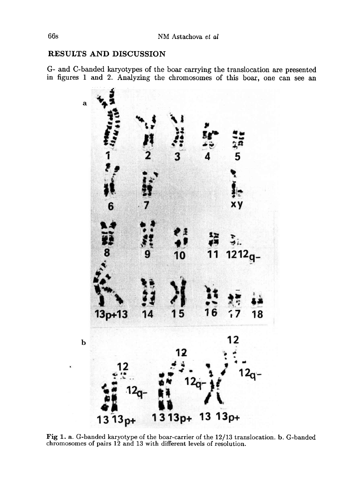## RESULTS AND DISCUSSION

G- and C-banded karyotypes of the boar carrying the translocation are presented in figures 1 and 2. Analyzing the chromosomes of this boar, one can see an



Fig 1. a. G-banded karyotype of the boar-carrier of the 12/13 translocation. b. G-banded chromosomes of pairs 12 and 13 with different levels of resolution.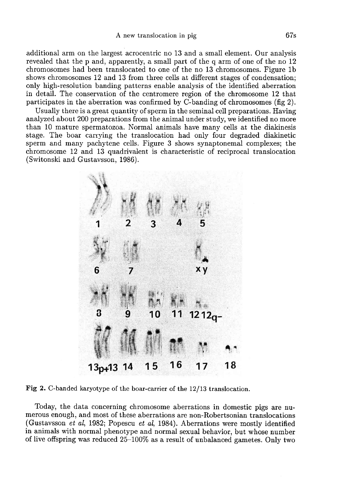additional arm on the largest acrocentric no 13 and a small element. Our analysis revealed that the p and, apparently, a small part of the q arm of one of the no 12 chromosomes had been translocated to one of the no 13 chromosomes. Figure 1b shows chromosomes 12 and 13 from three cells at different stages of condensation; only high-resolution banding patterns enable analysis of the identified aberration in detail. The conservation of the centromere region of the chromosome 12 that participates in the aberration was confirmed by C-banding of chromosomes (fig 2).

Usually there is a great quantity of sperm in the seminal cell preparations. Having analyzed about 200 preparations from the animal under study, we identified no more than 10 mature spermatozoa. Normal animals have many cells at the diakinesis stage. The boar carrying the translocation had only four degraded diakinetic sperm and many pachytene cells. Figure 3 shows synaptonemal complexes; the chromosome 12 and 13 quadrivalent is characteristic of reciprocal translocation (Switonski and Gustavsson, 1986).



Fig 2. C-banded karyotype of the boar-carrier of the 12/13 translocation.

Today, the data concerning chromosome aberrations in domestic pigs are numerous enough, and most of these aberrations are non-Robertsonian translocations (Gustavsson et al, 1982; Popescu et al, 1984). Aberrations were mostly identified in animals with normal phenotype and normal sexual behavior, but whose number of live offspring was reduced 25-100% as a result of unbalanced gametes. Only two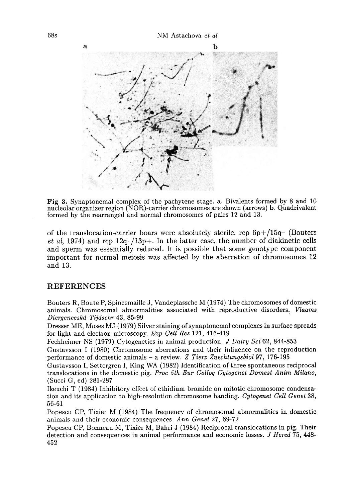

Fig 3. Synaptonemal complex of the pachytene stage. a. Bivalents formed by 8 and 10 nucleolar organizer region (NOR)-carrier chromosomes are shown (arrows) b. Quadrivalent formed by the rearranged and normal chromosomes of pairs 12 and 13.

of the translocation-carrier boars were absolutely sterile: rcp  $6p+15q-$  (Bouters et al, 1974) and rcp  $12q-13p+$ . In the latter case, the number of diakinetic cells and sperm was essentially reduced. It is possible that some genotype component important for normal meiosis was affected by the aberration of chromosomes 12 and 13.

#### REFERENCES

Bouters R, Boute P, Spincemaille J, Vandeplassche M (1974) The chromosomes of domestic animals. Chromosomal abnormalities associated with reproductive disorders. Vlaams Diergeneeskd Tijdschr 43, 85-99 .

Dresser ME, Moses MJ (1979) Silver staining of synaptonemal complexes in surface spreads for light and electron microscopy. Exp Cell Res 121, 416-419

Fechheimer NS (1979) Cytogenetics in animal production. J Dairy Sci 62, 844-853

Gustavsson I (1980) Chromosome aberrations and their influence on the reproduction performance of domestic animals - a review. Z Tierz Zuechtungsbiol 97, 176-195

Gustavsson I, Settergren I, King WA (1982) Identification of three spontaneous reciprocal translocations in the domestic pig. Proc 5th Eur Colloq Cytogenet Domest Anim Milano, (Succi G, ed) 281-287

Ikeuchi T (1984) Inhibitory effect of ethidium bromide on mitotic chromosome condensation and its application to high-resolution chromosome banding. Cytogenet Cell Genet 38, 56-61

Popescu CP, Tixier M (1984) The frequency of chromosomal abnormalities in domestic animals and their economic consequences. Ann Genet 27, 69-72

Popescu CP, Bonneau M, Tixier M, Bahri J (1984) Reciprocal translocations in pig. Their detection and consequences in animal performance and economic losses. J Hered 75, 448- 452